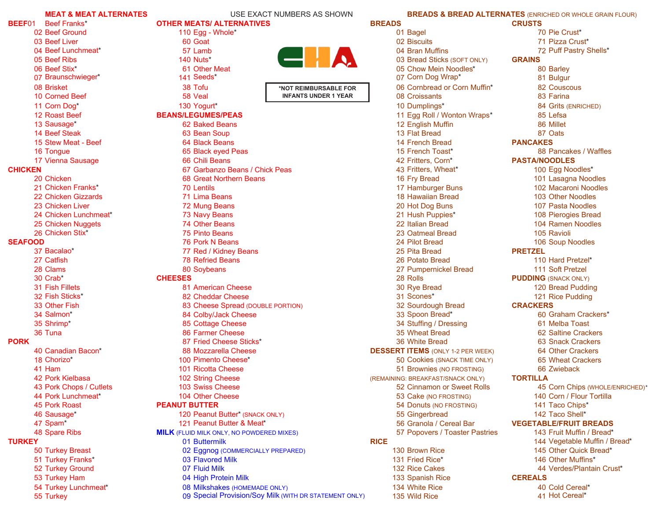|                | <b>MEAT &amp; MEAT ALTERNATES</b> | USE EXACT NUMBERS AS SHOWN                             |                                          | <b>BREADS &amp; BREAD ALTERNATES (ENRICHED OR WHOLE GRAIN FLOUR)</b> |
|----------------|-----------------------------------|--------------------------------------------------------|------------------------------------------|----------------------------------------------------------------------|
| BEEF01         | Beef Franks*                      | <b>OTHER MEATS/ ALTERNATIVES</b>                       | <b>BREADS</b>                            | <b>CRUSTS</b>                                                        |
|                | 02 Beef Ground                    | 110 Egg - Whole*                                       | 01 Bagel                                 | 70 Pie Crust*                                                        |
|                | 03 Beef Liver                     | 60 Goat                                                | 02 Biscuits<br>04 Bran Muffins           | 71 Pizza Crust*                                                      |
|                | 04 Beef Lunchmeat*                | 57 Lamb<br>CHA                                         |                                          | 72 Puff Pastry Shells*                                               |
|                | 05 Beef Ribs                      | 140 Nuts*                                              | 03 Bread Sticks (SOFT ONLY)              | <b>GRAINS</b>                                                        |
|                | 06 Beef Stix*                     | 61 Other Meat                                          | 05 Chow Mein Noodles*                    | 80 Barley                                                            |
|                | 07 Braunschwieger*                | 141 Seeds*                                             | 07 Corn Dog Wrap*                        | 81 Bulgur                                                            |
|                | 08 Brisket                        | 38 Tofu<br>*NOT REIMBURSABLE FOR                       | 06 Cornbread or Corn Muffin*             | 82 Couscous                                                          |
|                | 10 Corned Beef                    | <b>INFANTS UNDER 1 YEAR</b><br>58 Veal                 | 08 Croissants                            | 83 Farina                                                            |
|                | 11 Corn Dog*                      | 130 Yogurt*                                            | 10 Dumplings*                            | 84 Grits (ENRICHED)                                                  |
|                | 12 Roast Beef                     | <b>BEANS/LEGUMES/PEAS</b>                              | 11 Egg Roll / Wonton Wraps*              | 85 Lefsa                                                             |
|                | 13 Sausage*                       | 62 Baked Beans                                         | 12 English Muffin                        | 86 Millet                                                            |
|                | 14 Beef Steak                     | 63 Bean Soup                                           | 13 Flat Bread                            | 87 Oats                                                              |
|                | 15 Stew Meat - Beef               | 64 Black Beans                                         | 14 French Bread                          | <b>PANCAKES</b>                                                      |
|                | 16 Tongue                         | 65 Black eyed Peas                                     | 15 French Toast*                         | 88 Pancakes / Waffles                                                |
|                | 17 Vienna Sausage                 | 66 Chili Beans                                         | 42 Fritters, Corn*                       | <b>PASTA/NOODLES</b>                                                 |
| <b>CHICKEN</b> |                                   | 67 Garbanzo Beans / Chick Peas                         | 43 Fritters, Wheat*                      | 100 Egg Noodles*                                                     |
|                | 20 Chicken                        | 68 Great Northern Beans                                | 16 Fry Bread                             | 101 Lasagna Noodles                                                  |
|                | 21 Chicken Franks*                | 70 Lentils                                             | 17 Hamburger Buns                        | 102 Macaroni Noodles                                                 |
|                | 22 Chicken Gizzards               | 71 Lima Beans                                          | 18 Hawaiian Bread                        | 103 Other Noodles                                                    |
|                | 23 Chicken Liver                  | 72 Mung Beans                                          | 20 Hot Dog Buns                          | 107 Pasta Noodles                                                    |
|                | 24 Chicken Lunchmeat*             | 73 Navy Beans                                          | 21 Hush Puppies*                         | 108 Pierogies Bread                                                  |
|                | 25 Chicken Nuggets                | 74 Other Beans                                         | 22 Italian Bread                         | 104 Ramen Noodles                                                    |
|                | 26 Chicken Stix*                  | 75 Pinto Beans                                         | 23 Oatmeal Bread                         | 105 Ravioli                                                          |
| <b>SEAFOOD</b> |                                   | 76 Pork N Beans                                        | 24 Pilot Bread                           | 106 Soup Noodles                                                     |
|                | 37 Bacalao*                       | 77 Red / Kidney Beans                                  | 25 Pita Bread                            | <b>PRETZEL</b>                                                       |
|                | 27 Catfish                        | <b>78 Refried Beans</b>                                | 26 Potato Bread                          | 110 Hard Pretzel*                                                    |
|                | 28 Clams                          | 80 Soybeans                                            | 27 Pumpernickel Bread                    | 111 Soft Pretzel                                                     |
|                | 30 Crab*                          | <b>CHEESES</b>                                         | 28 Rolls                                 | <b>PUDDING</b> (SNACK ONLY)                                          |
|                | 31 Fish Fillets                   | 81 American Cheese                                     | 30 Rye Bread                             | 120 Bread Pudding                                                    |
|                | 32 Fish Sticks*                   | 82 Cheddar Cheese                                      | 31 Scones*                               | 121 Rice Pudding                                                     |
|                | 33 Other Fish                     | 83 Cheese Spread (DOUBLE PORTION)                      | 32 Sourdough Bread                       | <b>CRACKERS</b>                                                      |
|                | 34 Salmon*                        |                                                        |                                          | 60 Graham Crackers*                                                  |
|                |                                   | 84 Colby/Jack Cheese                                   | 33 Spoon Bread*                          |                                                                      |
|                | 35 Shrimp*                        | 85 Cottage Cheese                                      | 34 Stuffing / Dressing                   | 61 Melba Toast                                                       |
|                | 36 Tuna                           | 86 Farmer Cheese                                       | 35 Wheat Bread                           | 62 Saltine Crackers                                                  |
| <b>PORK</b>    |                                   | 87 Fried Cheese Sticks*                                | 36 White Bread                           | <b>63 Snack Crackers</b>                                             |
|                | 40 Canadian Bacon*                | 88 Mozzarella Cheese                                   | <b>DESSERT ITEMS (ONLY 1-2 PER WEEK)</b> | 64 Other Crackers                                                    |
|                | 18 Chorizo*                       | 100 Pimento Cheese*                                    | 50 Cookies (SNACK TIME ONLY)             | <b>65 Wheat Crackers</b>                                             |
|                | 41 Ham                            | 101 Ricotta Cheese                                     | 51 Brownies (NO FROSTING)                | 66 Zwieback                                                          |
|                | 42 Pork Kielbasa                  | 102 String Cheese                                      | (REMAINING: BREAKFAST/SNACK ONLY)        | <b>TORTILLA</b>                                                      |
|                | 43 Pork Chops / Cutlets           | 103 Swiss Cheese                                       | 52 Cinnamon or Sweet Rolls               | 45 Corn Chips (WHOLE/ENRICHED)*                                      |
|                | 44 Pork Lunchmeat*                | 104 Other Cheese                                       | 53 Cake (NO FROSTING)                    | 140 Corn / Flour Tortilla                                            |
|                | 45 Pork Roast                     | <b>PEANUT BUTTER</b>                                   | 54 Donuts (NO FROSTING)                  | 141 Taco Chips*                                                      |
|                | 46 Sausage*                       | 120 Peanut Butter* (SNACK ONLY)                        | 55 Gingerbread                           | 142 Taco Shell*                                                      |
|                | 47 Spam*                          | 121 Peanut Butter & Meat*                              | 56 Granola / Cereal Bar                  | <b>VEGETABLE/FRUIT BREADS</b>                                        |
|                | 48 Spare Ribs                     | <b>MILK</b> (FLUID MILK ONLY, NO POWDERED MIXES)       | 57 Popovers / Toaster Pastries           | 143 Fruit Muffin / Bread*                                            |
| <b>TURKEY</b>  |                                   | 01 Buttermilk                                          | <b>RICE</b>                              | 144 Vegetable Muffin / Bread*                                        |
|                | 50 Turkey Breast                  | 02 Eggnog (COMMERCIALLY PREPARED)                      | 130 Brown Rice                           | 145 Other Quick Bread*                                               |
|                | 51 Turkey Franks*                 | 03 Flavored Milk                                       | 131 Fried Rice*                          | 146 Other Muffins*                                                   |
|                | 52 Turkey Ground                  | 07 Fluid Milk                                          | 132 Rice Cakes                           | 44 Verdes/Plantain Crust*                                            |
|                | 53 Turkey Ham                     | 04 High Protein Milk                                   | 133 Spanish Rice                         | <b>CEREALS</b>                                                       |
|                | 54 Turkey Lunchmeat*              | 08 Milkshakes (HOMEMADE ONLY)                          | 134 White Rice                           | 40 Cold Cereal*                                                      |
|                | 55 Turkey                         | 09 Special Provision/Soy Milk (WITH DR STATEMENT ONLY) | 135 Wild Rice                            | 41 Hot Cereal*                                                       |
|                |                                   |                                                        |                                          |                                                                      |